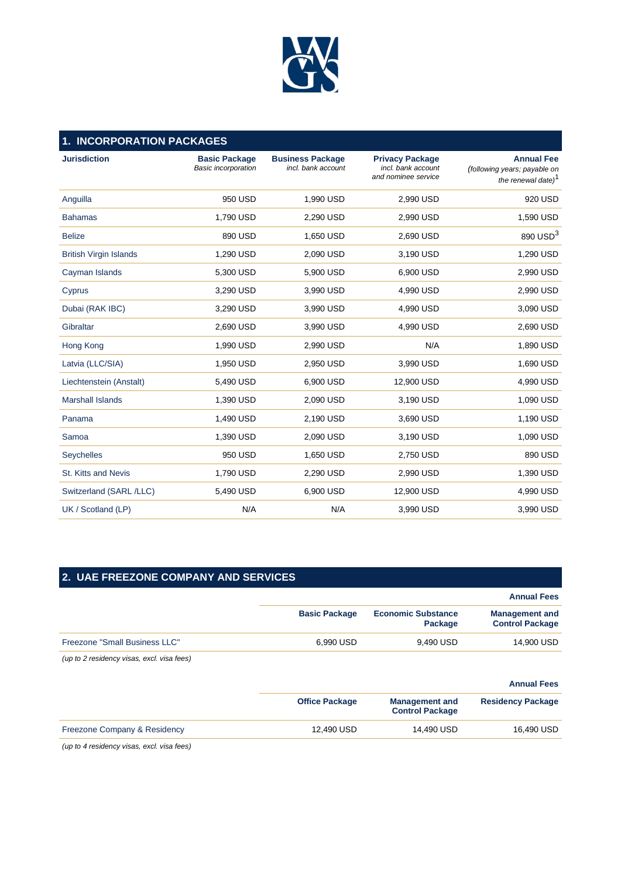

| <b>INCORPORATION PACKAGES</b><br>1. |                                                    |                                               |                                                                     |                                                                                     |  |  |
|-------------------------------------|----------------------------------------------------|-----------------------------------------------|---------------------------------------------------------------------|-------------------------------------------------------------------------------------|--|--|
| <b>Jurisdiction</b>                 | <b>Basic Package</b><br><b>Basic incorporation</b> | <b>Business Package</b><br>incl. bank account | <b>Privacy Package</b><br>incl. bank account<br>and nominee service | <b>Annual Fee</b><br>(following years; payable on<br>the renewal date) <sup>1</sup> |  |  |
| Anguilla                            | 950 USD                                            | 1,990 USD                                     | 2,990 USD                                                           | 920 USD                                                                             |  |  |
| <b>Bahamas</b>                      | 1,790 USD                                          | 2,290 USD                                     | 2,990 USD                                                           | 1,590 USD                                                                           |  |  |
| <b>Belize</b>                       | 890 USD                                            | 1,650 USD                                     | 2,690 USD                                                           | 890 USD <sup>3</sup>                                                                |  |  |
| <b>British Virgin Islands</b>       | 1,290 USD                                          | 2,090 USD                                     | 3,190 USD                                                           | 1,290 USD                                                                           |  |  |
| Cayman Islands                      | 5,300 USD                                          | 5,900 USD                                     | 6,900 USD                                                           | 2,990 USD                                                                           |  |  |
| Cyprus                              | 3,290 USD                                          | 3,990 USD                                     | 4,990 USD                                                           | 2,990 USD                                                                           |  |  |
| Dubai (RAK IBC)                     | 3,290 USD                                          | 3,990 USD                                     | 4,990 USD                                                           | 3,090 USD                                                                           |  |  |
| Gibraltar                           | 2,690 USD                                          | 3,990 USD                                     | 4,990 USD                                                           | 2,690 USD                                                                           |  |  |
| Hong Kong                           | 1,990 USD                                          | 2,990 USD                                     | N/A                                                                 | 1,890 USD                                                                           |  |  |
| Latvia (LLC/SIA)                    | 1,950 USD                                          | 2,950 USD                                     | 3,990 USD                                                           | 1,690 USD                                                                           |  |  |
| Liechtenstein (Anstalt)             | 5,490 USD                                          | 6.900 USD                                     | 12,900 USD                                                          | 4,990 USD                                                                           |  |  |
| <b>Marshall Islands</b>             | 1,390 USD                                          | 2,090 USD                                     | 3,190 USD                                                           | 1,090 USD                                                                           |  |  |
| Panama                              | 1,490 USD                                          | 2,190 USD                                     | 3,690 USD                                                           | 1,190 USD                                                                           |  |  |
| Samoa                               | 1,390 USD                                          | 2,090 USD                                     | 3,190 USD                                                           | 1,090 USD                                                                           |  |  |
| Seychelles                          | 950 USD                                            | 1,650 USD                                     | 2,750 USD                                                           | 890 USD                                                                             |  |  |
| St. Kitts and Nevis                 | 1,790 USD                                          | 2.290 USD                                     | 2.990 USD                                                           | 1,390 USD                                                                           |  |  |
| Switzerland (SARL/LLC)              | 5,490 USD                                          | 6,900 USD                                     | 12,900 USD                                                          | 4,990 USD                                                                           |  |  |
| UK / Scotland (LP)                  | N/A                                                | N/A                                           | 3,990 USD                                                           | 3,990 USD                                                                           |  |  |

| <b>2. UAE FREEZONE COMPANY AND SERVICES</b> |
|---------------------------------------------|
|---------------------------------------------|

|                               |                      |                                      | <b>Annual Fees</b>                              |
|-------------------------------|----------------------|--------------------------------------|-------------------------------------------------|
|                               | <b>Basic Package</b> | <b>Economic Substance</b><br>Package | <b>Management and</b><br><b>Control Package</b> |
| Freezone "Small Business LLC" | 6.990 USD            | 9.490 USD                            | 14,900 USD                                      |

*(up to 2 residency visas, excl. visa fees)*

#### **Annual Fees**

|                              | <b>Office Package</b> | <b>Management and</b><br><b>Control Package</b> | <b>Residency Package</b> |
|------------------------------|-----------------------|-------------------------------------------------|--------------------------|
| Freezone Company & Residency | 12.490 USD            | 14.490 USD                                      | 16.490 USD               |

*(up to 4 residency visas, excl. visa fees)*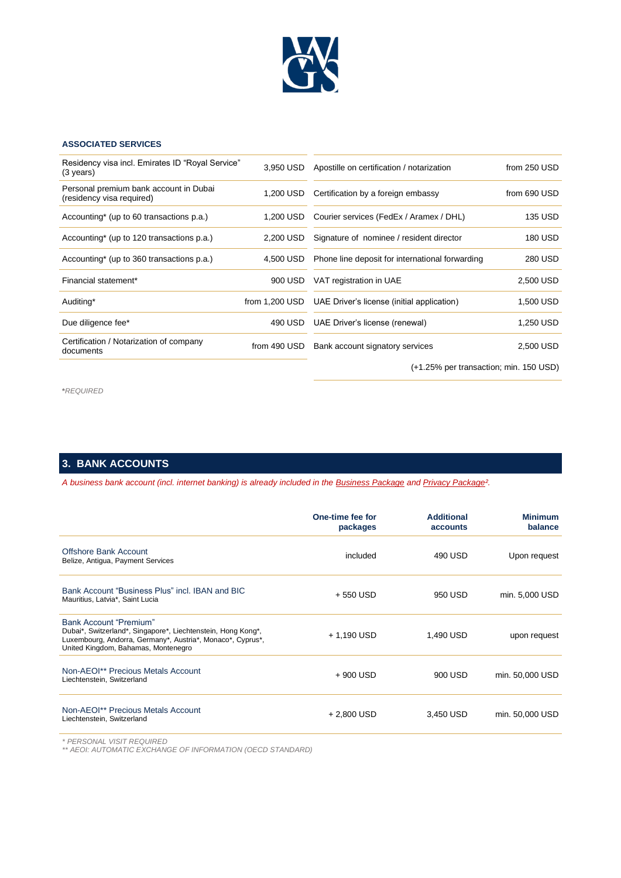

### **ASSOCIATED SERVICES**

| Residency visa incl. Emirates ID "Royal Service"<br>$(3 \text{ years})$ | 3.950 USD      | Apostille on certification / notarization       | from 250 USD   |
|-------------------------------------------------------------------------|----------------|-------------------------------------------------|----------------|
| Personal premium bank account in Dubai<br>(residency visa required)     | 1.200 USD      | Certification by a foreign embassy              | from 690 USD   |
| Accounting* (up to 60 transactions p.a.)                                | 1,200 USD      | Courier services (FedEx / Aramex / DHL)         | <b>135 USD</b> |
| Accounting* (up to 120 transactions p.a.)                               | 2,200 USD      | Signature of nominee / resident director        | <b>180 USD</b> |
| Accounting* (up to 360 transactions p.a.)                               | 4.500 USD      | Phone line deposit for international forwarding | 280 USD        |
| Financial statement*                                                    | 900 USD        | VAT registration in UAE                         | 2.500 USD      |
| Auditing*                                                               | from 1,200 USD | UAE Driver's license (initial application)      | 1,500 USD      |
| Due diligence fee*                                                      | 490 USD        | UAE Driver's license (renewal)                  | 1,250 USD      |
| Certification / Notarization of company<br>documents                    | from 490 USD   | Bank account signatory services                 | 2,500 USD      |
|                                                                         |                | (+1.25% per transaction; min. 150 USD)          |                |

**\****REQUIRED*

## **3. BANK ACCOUNTS**

*A business bank account (incl. internet banking) is already included in the Business Package and Privacy Package².*

|                                                                                                                                                                                                    | One-time fee for<br>packages | <b>Additional</b><br>accounts | <b>Minimum</b><br>balance |
|----------------------------------------------------------------------------------------------------------------------------------------------------------------------------------------------------|------------------------------|-------------------------------|---------------------------|
| Offshore Bank Account<br>Belize, Antiqua, Payment Services                                                                                                                                         | included                     | 490 USD                       | Upon request              |
| Bank Account "Business Plus" incl. IBAN and BIC<br>Mauritius, Latvia*, Saint Lucia                                                                                                                 | + 550 USD                    | 950 USD                       | min. 5,000 USD            |
| <b>Bank Account "Premium"</b><br>Dubai*, Switzerland*, Singapore*, Liechtenstein, Hong Kong*,<br>Luxembourg, Andorra, Germany*, Austria*, Monaco*, Cyprus*,<br>United Kingdom, Bahamas, Montenegro | + 1,190 USD                  | 1,490 USD                     | upon request              |
| Non-AEOI** Precious Metals Account<br>Liechtenstein, Switzerland                                                                                                                                   | + 900 USD                    | 900 USD                       | min. 50,000 USD           |
| Non-AEOI** Precious Metals Account<br>Liechtenstein, Switzerland                                                                                                                                   | $+2,800$ USD                 | 3,450 USD                     | min. 50,000 USD           |

*\* PERSONAL VISIT REQUIRED \*\* AEOI: AUTOMATIC EXCHANGE OF INFORMATION (OECD STANDARD)*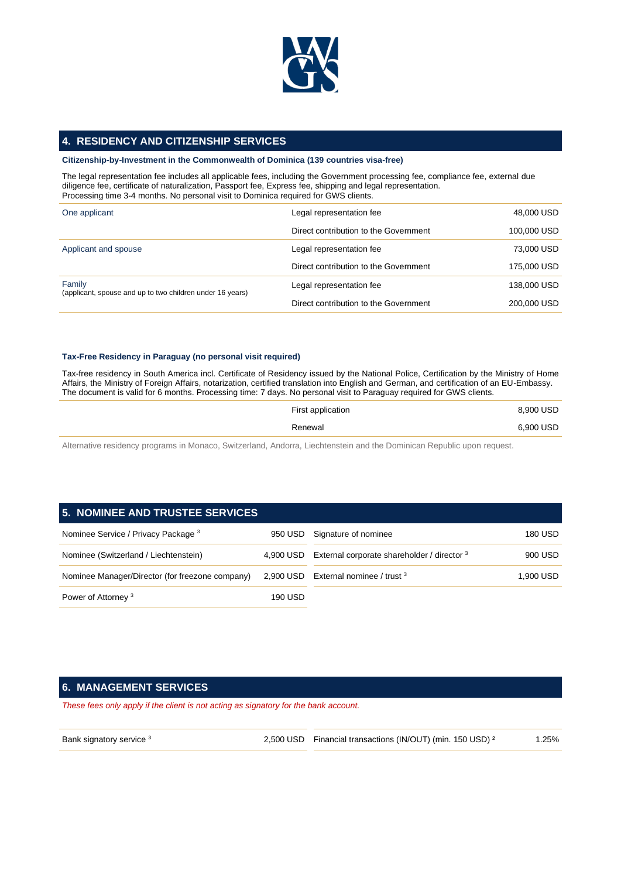

## **4. RESIDENCY AND CITIZENSHIP SERVICES**

#### **Citizenship-by-Investment in the Commonwealth of Dominica (139 countries visa-free)**

The legal representation fee includes all applicable fees, including the Government processing fee, compliance fee, external due diligence fee, certificate of naturalization, Passport fee, Express fee, shipping and legal representation. Processing time 3-4 months. No personal visit to Dominica required for GWS clients.

| One applicant                                                       | Legal representation fee              | 48,000 USD  |
|---------------------------------------------------------------------|---------------------------------------|-------------|
|                                                                     | Direct contribution to the Government | 100,000 USD |
| Applicant and spouse                                                | Legal representation fee              | 73,000 USD  |
|                                                                     | Direct contribution to the Government | 175,000 USD |
| Family<br>(applicant, spouse and up to two children under 16 years) | Legal representation fee              | 138,000 USD |
|                                                                     | Direct contribution to the Government | 200,000 USD |

#### **Tax-Free Residency in Paraguay (no personal visit required)**

Tax-free residency in South America incl. Certificate of Residency issued by the National Police, Certification by the Ministry of Home Affairs, the Ministry of Foreign Affairs, notarization, certified translation into English and German, and certification of an EU-Embassy. The document is valid for 6 months. Processing time: 7 days. No personal visit to Paraguay required for GWS clients.

| First application | 8,900 USD |
|-------------------|-----------|
| Renewal           | 6,900 USD |
|                   |           |

Alternative residency programs in Monaco, Switzerland, Andorra, Liechtenstein and the Dominican Republic upon request.

# **5. NOMINEE AND TRUSTEE SERVICES** Nominee Service / Privacy Package 3 950 USD Signature of nominee 180 USD 180 USD Nominee (Switzerland / Liechtenstein) 4,900 USD External corporate shareholder / director <sup>3</sup> 900 USD

|                                                 |         | $1,000$ $000$ $000$ $0.000$ $0.000$ $0.000$ $0.000$ $0.000$ | -----     |
|-------------------------------------------------|---------|-------------------------------------------------------------|-----------|
| Nominee Manager/Director (for freezone company) |         | 2,900 USD External nominee / trust $3$                      | 1.900 USD |
| Power of Attorney <sup>3</sup>                  | 190 USD |                                                             |           |

# **6. MANAGEMENT SERVICES**

*These fees only apply if the client is not acting as signatory for the bank account.*

Bank signatory service <sup>3</sup> 2,500 USD Financial transactions (IN/OUT) (min. 150 USD)<sup>2</sup> 1.25%